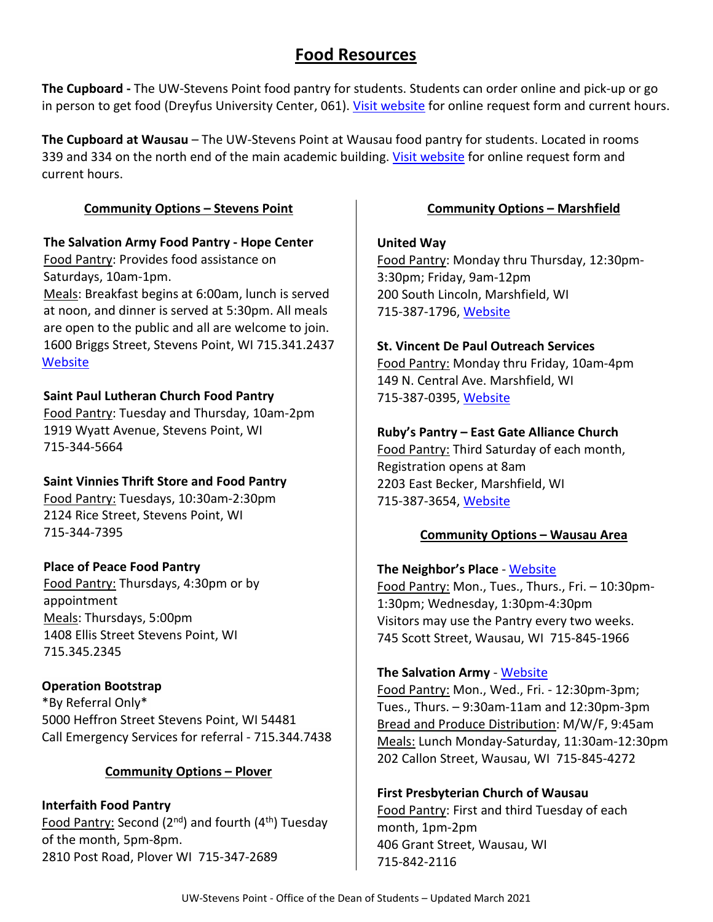# **Food Resources**

**The Cupboard -** The UW-Stevens Point food pantry for students. Students can order online and pick-up or go in person to get food (Dreyfus University Center, 061). [Visit website](http://www.uwsp.edu/centers/CASE/pages/cupboard/use-the-Pantry.aspx) for online request form and current hours.

**The Cupboard at Wausau** – The UW-Stevens Point at Wausau food pantry for students. Located in rooms 339 and 334 on the north end of the main academic building. [Visit website](https://www.uwsp.edu/wausau/campus/Pages/food-pantry.aspx) for online request form and current hours.

#### **Community Options – Stevens Point**

#### **The Salvation Army Food Pantry - Hope Center**

Food Pantry: Provides food assistance on Saturdays, 10am-1pm.

Meals: Breakfast begins at 6:00am, lunch is served at noon, and dinner is served at 5:30pm. All meals are open to the public and all are welcome to join. 1600 Briggs Street, Stevens Point, WI 715.341.2437 **[Website](http://www.usc.salvationarmy.org/stevenspoint)** 

### **Saint Paul Lutheran Church Food Pantry**

Food Pantry: Tuesday and Thursday, 10am-2pm 1919 Wyatt Avenue, Stevens Point, WI 715-344-5664

### **Saint Vinnies Thrift Store and Food Pantry**

Food Pantry: Tuesdays, 10:30am-2:30pm 2124 Rice Street, Stevens Point, WI 715-344-7395

# **Place of Peace Food Pantry**

Food Pantry: Thursdays, 4:30pm or by appointment Meals: Thursdays, 5:00pm 1408 Ellis Street Stevens Point, WI 715.345.2345

### **Operation Bootstrap**

\*By Referral Only\* 5000 Heffron Street Stevens Point, WI 54481 Call Emergency Services for referral - 715.344.7438

# **Community Options – Plover**

**Interfaith Food Pantry** Food Pantry: Second ( $2^{nd}$ ) and fourth ( $4^{th}$ ) Tuesday of the month, 5pm-8pm. 2810 Post Road, Plover WI 715-347-2689

#### **Community Options – Marshfield**

#### **United Way**

Food Pantry: Monday thru Thursday, 12:30pm-3:30pm; Friday, 9am-12pm 200 South Lincoln, Marshfield, WI 715-387-1796, [Website](https://www.marshfieldareaunitedway.org/soup-or-socks-0)

#### **St. Vincent De Paul Outreach Services**

Food Pantry: Monday thru Friday, 10am-4pm 149 N. Central Ave. Marshfield, WI 715-387-0395, [Website](http://www.stvincentsmarshfield.org/pages/outreach-services.php)

### **Ruby's Pantry – East Gate Alliance Church**

Food Pantry: Third Saturday of each month, Registration opens at 8am 2203 East Becker, Marshfield, WI 715-387-3654, [Website](http://www.eastgatealliance.com/rubys-pantry/)

### **Community Options – Wausau Area**

### **The Neighbor's Place** - [Website](http://neighborsplace.org/programs/food-bank/)

Food Pantry: Mon., Tues., Thurs., Fri. – 10:30pm-1:30pm; Wednesday, 1:30pm-4:30pm Visitors may use the Pantry every two weeks. 745 Scott Street, Wausau, WI 715-845-1966

### **The Salvation Army** - [Website](https://centralusa.salvationarmy.org/wausau/cure-hunger/)

Food Pantry: Mon., Wed., Fri. - 12:30pm-3pm; Tues., Thurs. – 9:30am-11am and 12:30pm-3pm Bread and Produce Distribution: M/W/F, 9:45am Meals: Lunch Monday-Saturday, 11:30am-12:30pm 202 Callon Street, Wausau, WI 715-845-4272

### **First Presbyterian Church of Wausau**

Food Pantry: First and third Tuesday of each month, 1pm-2pm 406 Grant Street, Wausau, WI 715-842-2116